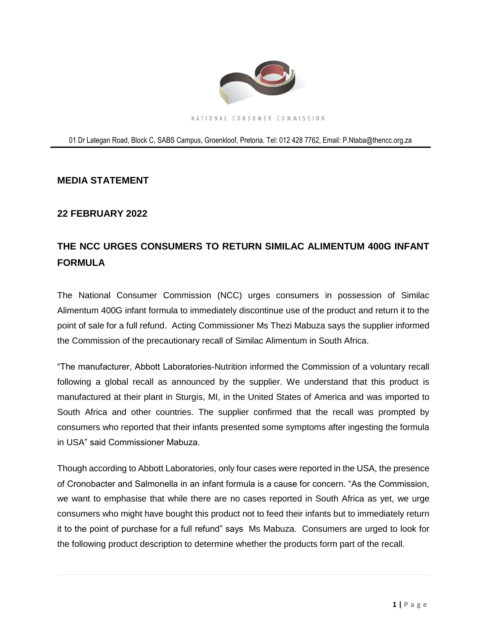

## 01 Dr Lategan Road, Block C, SABS Campus, Groenkloof, Pretoria. Tel: 012 428 7762, Email: [P.Ntaba@thencc.org.za](mailto:P.Ntaba@thencc.org.za)

## **MEDIA STATEMENT**

## **22 FEBRUARY 2022**

## **THE NCC URGES CONSUMERS TO RETURN SIMILAC ALIMENTUM 400G INFANT FORMULA**

The National Consumer Commission (NCC) urges consumers in possession of Similac Alimentum 400G infant formula to immediately discontinue use of the product and return it to the point of sale for a full refund. Acting Commissioner Ms Thezi Mabuza says the supplier informed the Commission of the precautionary recall of Similac Alimentum in South Africa.

"The manufacturer, Abbott Laboratories-Nutrition informed the Commission of a voluntary recall following a global recall as announced by the supplier. We understand that this product is manufactured at their plant in Sturgis, MI, in the United States of America and was imported to South Africa and other countries. The supplier confirmed that the recall was prompted by consumers who reported that their infants presented some symptoms after ingesting the formula in USA" said Commissioner Mabuza.

Though according to Abbott Laboratories, only four cases were reported in the USA, the presence of Cronobacter and Salmonella in an infant formula is a cause for concern. "As the Commission, we want to emphasise that while there are no cases reported in South Africa as yet, we urge consumers who might have bought this product not to feed their infants but to immediately return it to the point of purchase for a full refund" says Ms Mabuza. Consumers are urged to look for the following product description to determine whether the products form part of the recall.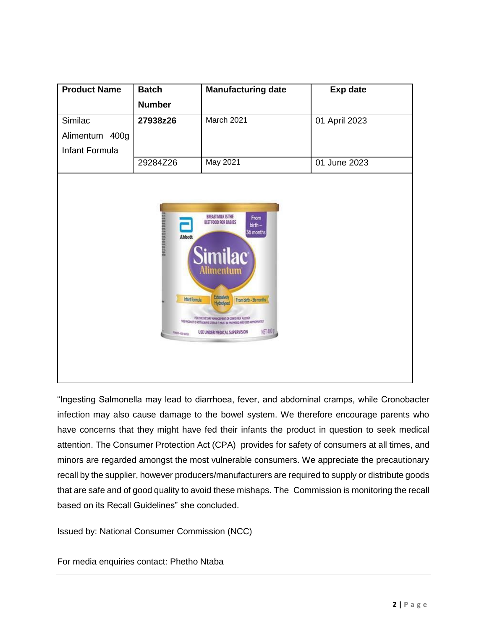| <b>Product Name</b>                                                                                                                                                                                                                                                                                                                                                                                                                       | <b>Batch</b>  | <b>Manufacturing date</b> | <b>Exp date</b> |
|-------------------------------------------------------------------------------------------------------------------------------------------------------------------------------------------------------------------------------------------------------------------------------------------------------------------------------------------------------------------------------------------------------------------------------------------|---------------|---------------------------|-----------------|
|                                                                                                                                                                                                                                                                                                                                                                                                                                           | <b>Number</b> |                           |                 |
| Similac                                                                                                                                                                                                                                                                                                                                                                                                                                   | 27938z26      | March 2021                | 01 April 2023   |
| Alimentum 400g                                                                                                                                                                                                                                                                                                                                                                                                                            |               |                           |                 |
| Infant Formula                                                                                                                                                                                                                                                                                                                                                                                                                            |               |                           |                 |
|                                                                                                                                                                                                                                                                                                                                                                                                                                           | 29284Z26      | May 2021                  | 01 June 2023    |
| (6) 网络阿斯林阿尔特 经货物经营<br><b>BREAST MILK IS THE</b><br>From<br>BEST FOOD FOR BABIES<br>birth -<br>36 months<br>Abbott<br><b>Similac</b><br>Alimentum<br>Extensively<br><b>Infant formula</b><br>From birth - 36 months<br>Hydrolysed<br>FOR THE DIETARY HANNAGEMENT OF CONFERENCE ALLERCY<br>THE PRODUCT IS NOT ALWAYS STERILE IT MUST BE PREMARED AND USED APPROVINGED.<br>NET 400 g<br>USE UNDER MEDICAL SUPERVISION<br><b>PAST-ASSAULT</b> |               |                           |                 |

"Ingesting Salmonella may lead to diarrhoea, fever, and abdominal cramps, while Cronobacter infection may also cause damage to the bowel system. We therefore encourage parents who have concerns that they might have fed their infants the product in question to seek medical attention. The Consumer Protection Act (CPA) provides for safety of consumers at all times, and minors are regarded amongst the most vulnerable consumers. We appreciate the precautionary recall by the supplier, however producers/manufacturers are required to supply or distribute goods that are safe and of good quality to avoid these mishaps. The Commission is monitoring the recall based on its Recall Guidelines" she concluded.

Issued by: National Consumer Commission (NCC)

For media enquiries contact: Phetho Ntaba